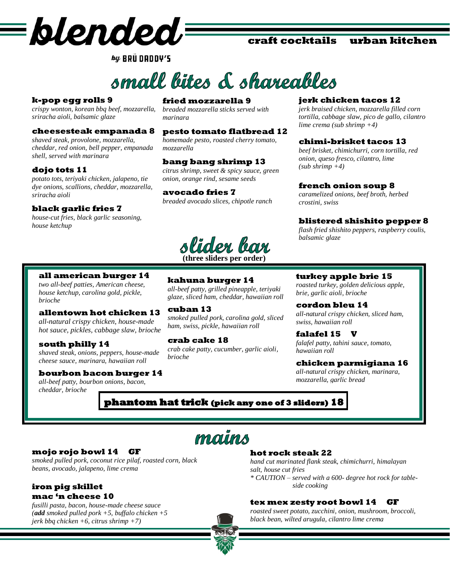

## **craft cocktails urban kitchen**

 $\mathcal{L} \mathcal{L}$  BRU DADDY'S

# small lites & shareables

#### **k-pop egg rolls 9**

*crispy wonton, korean bbq beef, mozzarella, sriracha aioli, balsamic glaze* 

#### **cheesesteak empanada 8**

*shaved steak, provolone, mozzarella, cheddar, red onion, bell pepper, empanada shell, served with marinara*

#### **dojo tots 11**

*potato tots, teriyaki chicken, jalapeno, tie dye onions, scallions, cheddar, mozzarella, sriracha aioli* 

#### **black garlic fries 7**

*house-cut fries, black garlic seasoning, house ketchup* 

## **fried mozzarella 9**

*breaded mozzarella sticks served with marinara*

#### **pesto tomato flatbread 12**

*homemade pesto, roasted cherry tomato, mozzarella*

## **bang bang shrimp 13**

*citrus shrimp, sweet & spicy sauce, green onion, orange rind, sesame seeds*

#### **avocado fries 7**

*breaded avocado slices, chipotle ranch*

slider bar **(three sliders per order)**

**kahuna burger 14**

**all american burger 14**

*two all-beef patties, American cheese, house ketchup, carolina gold, pickle, brioche*

#### **allentown hot chicken 13**

*all-natural crispy chicken, house-made hot sauce, pickles, cabbage slaw, brioche*

#### **south philly 14**

*shaved steak, onions, peppers, house-made cheese sauce, marinara, hawaiian roll*

#### **bourbon bacon burger 14**

*all-beef patty, bourbon onions, bacon, cheddar, brioche*

*all-beef patty, grilled pineapple, teriyaki glaze, sliced ham, cheddar, hawaiian roll* **cuban 13**

*smoked pulled pork, carolina gold, sliced ham, swiss, pickle, hawaiian roll* 

**crab cake 18** *crab cake patty, cucumber, garlic aioli, brioche*

#### **jerk chicken tacos 12**

*jerk braised chicken, mozzarella filled corn tortilla, cabbage slaw, pico de gallo, cilantro lime crema (sub shrimp +4)*

#### **chimi-brisket tacos 13**

*beef brisket, chimichurri, corn tortilla, red onion, queso fresco, cilantro, lime (sub shrimp +4)*

#### **french onion soup 8**

*caramelized onions, beef broth, herbed crostini, swiss*

#### **blistered shishito pepper 8**

*flash fried shishito peppers, raspberry coulis, balsamic glaze*

#### **turkey apple brie 15**

*roasted turkey, golden delicious apple, brie, garlic aioli, brioche*

**cordon bleu 14** *all-natural crispy chicken, sliced ham, swiss, hawaiian roll*

**falafel 15 V** *falafel patty, tahini sauce, tomato, hawaiian roll*

#### **chicken parmigiana 16**

*all-natural crispy chicken, marinara, mozzarella, garlic bread*

**phantom hat trick (pick any one of 3 sliders) 18**

mauns

#### **mojo rojo bowl 14 GF**

*smoked pulled pork, coconut rice pilaf, roasted corn, black beans, avocado, jalapeno, lime crema*

#### **iron pig skillet mac 'n cheese 10**

*fusilli pasta, bacon, house-made cheese sauce (add smoked pulled pork +5, buffalo chicken +5 jerk bbq chicken +6, citrus shrimp +7)*

#### **hot rock steak 22**

*hand cut marinated flank steak, chimichurri, himalayan salt, house cut fries \* CAUTION – served with a 600- degree hot rock for table side cooking* 

#### **tex mex zesty root bowl 14 GF**

*roasted sweet potato, zucchini, onion, mushroom, broccoli, black bean, wilted arugula, cilantro lime crema*